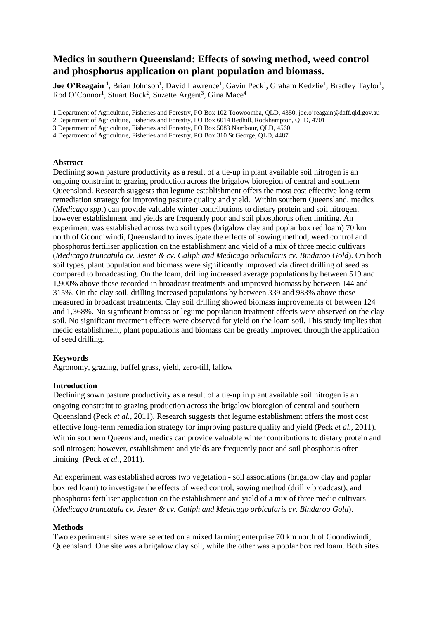# **Medics in southern Queensland: Effects of sowing method, weed control and phosphorus application on plant population and biomass.**

Joe O'Reagain<sup>1</sup>, Brian Johnson<sup>1</sup>, David Lawrence<sup>1</sup>, Gavin Peck<sup>1</sup>, Graham Kedzlie<sup>1</sup>, Bradley Taylor<sup>1</sup>, Rod O'Connor<sup>1</sup>, Stuart Buck<sup>2</sup>, Suzette Argent<sup>3</sup>, Gina Mace<sup>4</sup>

1 Department of Agriculture, Fisheries and Forestry, PO Box 102 Toowoomba, QLD, 4350, joe.o'reagain@daff.qld.gov.au

2 Department of Agriculture, Fisheries and Forestry, PO Box 6014 Redhill, Rockhampton, QLD, 4701

3 Department of Agriculture, Fisheries and Forestry, PO Box 5083 Nambour, QLD, 4560

4 Department of Agriculture, Fisheries and Forestry, PO Box 310 St George, QLD, 4487

#### **Abstract**

Declining sown pasture productivity as a result of a tie-up in plant available soil nitrogen is an ongoing constraint to grazing production across the brigalow bioregion of central and southern Queensland. Research suggests that legume establishment offers the most cost effective long-term remediation strategy for improving pasture quality and yield. Within southern Queensland, medics (*Medicago spp*.) can provide valuable winter contributions to dietary protein and soil nitrogen, however establishment and yields are frequently poor and soil phosphorus often limiting. An experiment was established across two soil types (brigalow clay and poplar box red loam) 70 km north of Goondiwindi, Queensland to investigate the effects of sowing method, weed control and phosphorus fertiliser application on the establishment and yield of a mix of three medic cultivars (*Medicago truncatula cv. Jester & cv. Caliph and Medicago orbicularis cv. Bindaroo Gold*). On both soil types, plant population and biomass were significantly improved via direct drilling of seed as compared to broadcasting. On the loam, drilling increased average populations by between 519 and 1,900% above those recorded in broadcast treatments and improved biomass by between 144 and 315%. On the clay soil, drilling increased populations by between 339 and 983% above those measured in broadcast treatments. Clay soil drilling showed biomass improvements of between 124 and 1,368%. No significant biomass or legume population treatment effects were observed on the clay soil. No significant treatment effects were observed for yield on the loam soil. This study implies that medic establishment, plant populations and biomass can be greatly improved through the application of seed drilling.

#### **Keywords**

Agronomy, grazing, buffel grass, yield, zero-till, fallow

### **Introduction**

Declining sown pasture productivity as a result of a tie-up in plant available soil nitrogen is an ongoing constraint to grazing production across the brigalow bioregion of central and southern Queensland (Peck *et al.*, 2011). Research suggests that legume establishment offers the most cost effective long-term remediation strategy for improving pasture quality and yield (Peck *et al.*, 2011). Within southern Queensland, medics can provide valuable winter contributions to dietary protein and soil nitrogen; however, establishment and yields are frequently poor and soil phosphorus often limiting (Peck *et al.*, 2011).

An experiment was established across two vegetation - soil associations (brigalow clay and poplar box red loam) to investigate the effects of weed control, sowing method (drill v broadcast), and phosphorus fertiliser application on the establishment and yield of a mix of three medic cultivars (*Medicago truncatula cv. Jester & cv. Caliph and Medicago orbicularis cv. Bindaroo Gold*).

#### **Methods**

Two experimental sites were selected on a mixed farming enterprise 70 km north of Goondiwindi, Queensland. One site was a brigalow clay soil, while the other was a poplar box red loam. Both sites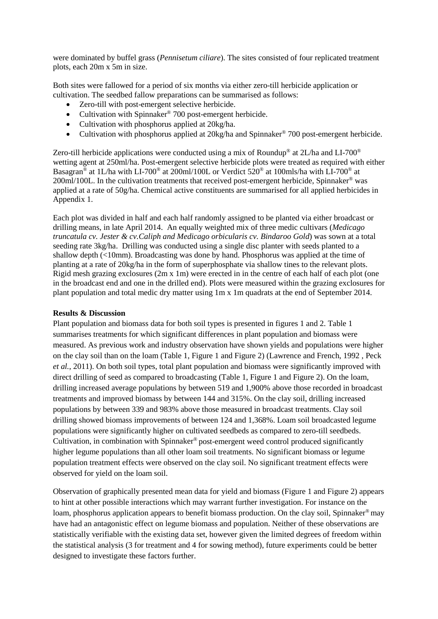were dominated by buffel grass (*Pennisetum ciliare*). The sites consisted of four replicated treatment plots, each 20m x 5m in size.

Both sites were fallowed for a period of six months via either zero-till herbicide application or cultivation. The seedbed fallow preparations can be summarised as follows:

- Zero-till with post-emergent selective herbicide.
- Cultivation with Spinnaker<sup>®</sup> 700 post-emergent herbicide.
- Cultivation with phosphorus applied at 20kg/ha.
- Cultivation with phosphorus applied at 20kg/ha and Spinnaker<sup>®</sup> 700 post-emergent herbicide.

Zero-till herbicide applications were conducted using a mix of Roundup<sup>®</sup> at 2L/ha and LI-700<sup>®</sup> wetting agent at 250ml/ha. Post-emergent selective herbicide plots were treated as required with either Basagran® at 1L/ha with LI-700® at 200ml/100L or Verdict 520® at 100mls/ha with LI-700® at 200ml/100L. In the cultivation treatments that received post-emergent herbicide, Spinnaker® was applied at a rate of 50g/ha. Chemical active constituents are summarised for all applied herbicides in Appendix 1.

Each plot was divided in half and each half randomly assigned to be planted via either broadcast or drilling means, in late April 2014. An equally weighted mix of three medic cultivars (*Medicago truncatula cv. Jester & cv.Caliph and Medicago orbicularis cv. Bindaroo Gold*) was sown at a total seeding rate 3kg/ha. Drilling was conducted using a single disc planter with seeds planted to a shallow depth (<10mm). Broadcasting was done by hand. Phosphorus was applied at the time of planting at a rate of 20kg/ha in the form of superphosphate via shallow tines to the relevant plots. Rigid mesh grazing exclosures (2m x 1m) were erected in in the centre of each half of each plot (one in the broadcast end and one in the drilled end). Plots were measured within the grazing exclosures for plant population and total medic dry matter using 1m x 1m quadrats at the end of September 2014.

## **Results & Discussion**

Plant population and biomass data for both soil types is presented in figures 1 and 2. Table 1 summarises treatments for which significant differences in plant population and biomass were measured. As previous work and industry observation have shown yields and populations were higher on the clay soil than on the loam (Table 1, Figure 1 and Figure 2) (Lawrence and French, 1992 , Peck *et al.*, 2011). On both soil types, total plant population and biomass were significantly improved with direct drilling of seed as compared to broadcasting (Table 1, Figure 1 and Figure 2). On the loam, drilling increased average populations by between 519 and 1,900% above those recorded in broadcast treatments and improved biomass by between 144 and 315%. On the clay soil, drilling increased populations by between 339 and 983% above those measured in broadcast treatments. Clay soil drilling showed biomass improvements of between 124 and 1,368%. Loam soil broadcasted legume populations were significantly higher on cultivated seedbeds as compared to zero-till seedbeds. Cultivation, in combination with Spinnaker® post-emergent weed control produced significantly higher legume populations than all other loam soil treatments. No significant biomass or legume population treatment effects were observed on the clay soil. No significant treatment effects were observed for yield on the loam soil.

Observation of graphically presented mean data for yield and biomass (Figure 1 and Figure 2) appears to hint at other possible interactions which may warrant further investigation. For instance on the loam, phosphorus application appears to benefit biomass production. On the clay soil, Spinnaker<sup>®</sup> may have had an antagonistic effect on legume biomass and population. Neither of these observations are statistically verifiable with the existing data set, however given the limited degrees of freedom within the statistical analysis (3 for treatment and 4 for sowing method), future experiments could be better designed to investigate these factors further.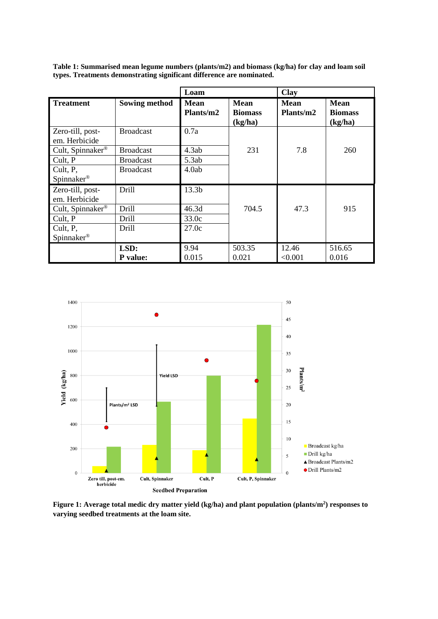|                                   |                      | Loam                     |                                          | <b>Clay</b>              |                                   |
|-----------------------------------|----------------------|--------------------------|------------------------------------------|--------------------------|-----------------------------------|
| <b>Treatment</b>                  | <b>Sowing method</b> | <b>Mean</b><br>Plants/m2 | <b>Mean</b><br><b>Biomass</b><br>(kg/ha) | <b>Mean</b><br>Plants/m2 | Mean<br><b>Biomass</b><br>(kg/ha) |
| Zero-till, post-<br>em. Herbicide | <b>Broadcast</b>     | 0.7a                     |                                          |                          |                                   |
| Cult, Spinnaker®                  | <b>Broadcast</b>     | 4.3ab                    | 231                                      | 7.8                      | 260                               |
| Cult, P                           | <b>Broadcast</b>     | 5.3ab                    |                                          |                          |                                   |
| Cult, P,                          | <b>Broadcast</b>     | 4.0ab                    |                                          |                          |                                   |
| Spinnaker <sup>®</sup>            |                      |                          |                                          |                          |                                   |
| Zero-till, post-<br>em. Herbicide | Drill                | 13.3b                    |                                          |                          |                                   |
| Cult, Spinnaker <sup>®</sup>      | Drill                | 46.3d                    | 704.5                                    | 47.3                     | 915                               |
| Cult, P                           | Drill                | 33.0c                    |                                          |                          |                                   |
| Cult, P,                          | Drill                | 27.0c                    |                                          |                          |                                   |
| Spinnaker <sup>®</sup>            |                      |                          |                                          |                          |                                   |
|                                   | LSD:                 | 9.94                     | 503.35                                   | 12.46                    | 516.65                            |
|                                   | <b>P</b> value:      | 0.015                    | 0.021                                    | < 0.001                  | 0.016                             |

**Table 1: Summarised mean legume numbers (plants/m2) and biomass (kg/ha) for clay and loam soil types. Treatments demonstrating significant difference are nominated.**



Figure 1: Average total medic dry matter yield (kg/ha) and plant population (plants/m<sup>2</sup>) responses to **varying seedbed treatments at the loam site.**